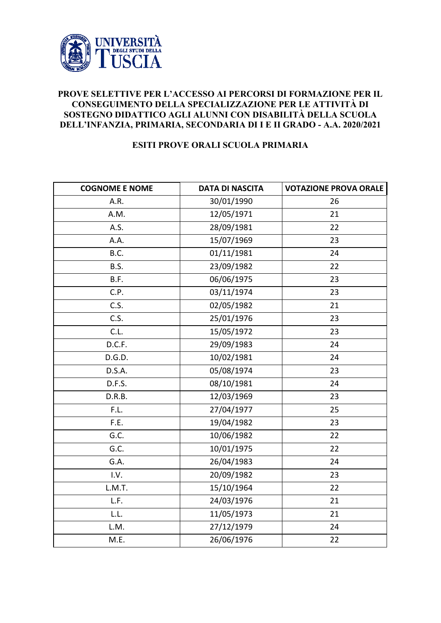

## **PROVE SELETTIVE PER L'ACCESSO AI PERCORSI DI FORMAZIONE PER IL CONSEGUIMENTO DELLA SPECIALIZZAZIONE PER LE ATTIVITÀ DI SOSTEGNO DIDATTICO AGLI ALUNNI CON DISABILITÀ DELLA SCUOLA DELL'INFANZIA, PRIMARIA, SECONDARIA DI I E II GRADO - A.A. 2020/2021**

## **ESITI PROVE ORALI SCUOLA PRIMARIA**

| <b>COGNOME E NOME</b> | <b>DATA DI NASCITA</b> | <b>VOTAZIONE PROVA ORALE</b> |
|-----------------------|------------------------|------------------------------|
| A.R.                  | 30/01/1990             | 26                           |
| A.M.                  | 12/05/1971             | 21                           |
| A.S.                  | 28/09/1981             | 22                           |
| A.A.                  | 15/07/1969             | 23                           |
| B.C.                  | 01/11/1981             | 24                           |
| B.S.                  | 23/09/1982             | 22                           |
| B.F.                  | 06/06/1975             | 23                           |
| C.P.                  | 03/11/1974             | 23                           |
| C.S.                  | 02/05/1982             | 21                           |
| C.S.                  | 25/01/1976             | 23                           |
| C.L.                  | 15/05/1972             | 23                           |
| D.C.F.                | 29/09/1983             | 24                           |
| D.G.D.                | 10/02/1981             | 24                           |
| D.S.A.                | 05/08/1974             | 23                           |
| D.F.S.                | 08/10/1981             | 24                           |
| D.R.B.                | 12/03/1969             | 23                           |
| F.L.                  | 27/04/1977             | 25                           |
| F.E.                  | 19/04/1982             | 23                           |
| G.C.                  | 10/06/1982             | 22                           |
| G.C.                  | 10/01/1975             | 22                           |
| G.A.                  | 26/04/1983             | 24                           |
| I.V.                  | 20/09/1982             | 23                           |
| L.M.T.                | 15/10/1964             | 22                           |
| L.F.                  | 24/03/1976             | 21                           |
| L.L.                  | 11/05/1973             | 21                           |
| L.M.                  | 27/12/1979             | 24                           |
| M.E.                  | 26/06/1976             | 22                           |